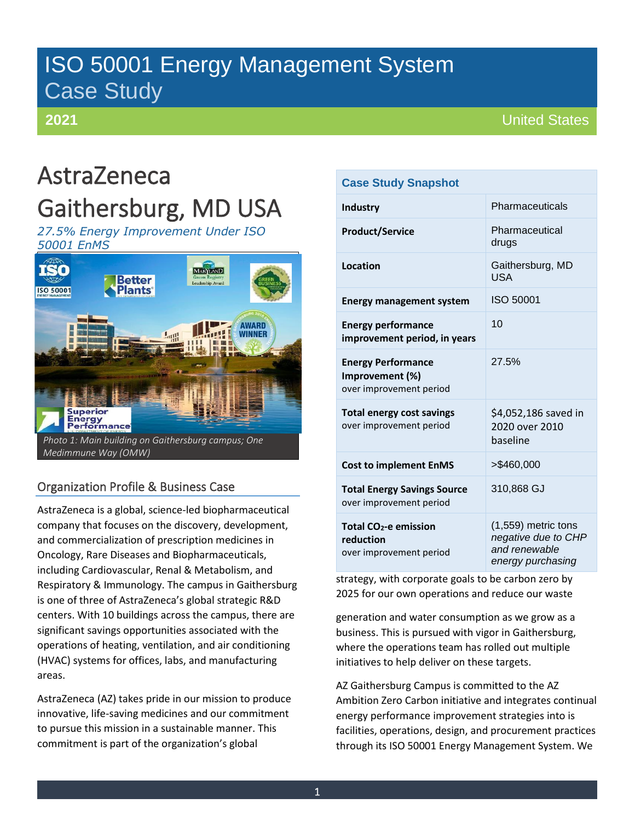# ISO 50001 Energy Management System Case Study

# **2021**

# AstraZeneca

# Gaithersburg, MD USA

*27.5% Energy Improvement Under ISO 50001 EnMS*



# Organization Profile & Business Case

AstraZeneca is a global, science-led biopharmaceutical company that focuses on the discovery, development, and commercialization of prescription medicines in Oncology, Rare Diseases and Biopharmaceuticals, including Cardiovascular, Renal & Metabolism, and Respiratory & Immunology. The campus in Gaithersburg is one of three of AstraZeneca's global strategic R&D centers. With 10 buildings across the campus, there are significant savings opportunities associated with the operations of heating, ventilation, and air conditioning (HVAC) systems for offices, labs, and manufacturing areas.

AstraZeneca (AZ) takes pride in our mission to produce innovative, life-saving medicines and our commitment to pursue this mission in a sustainable manner. This commitment is part of the organization's global

### **Case Study Snapshot**

| <b>Industry</b>                                                           | Pharmaceuticals                                                                  |
|---------------------------------------------------------------------------|----------------------------------------------------------------------------------|
| <b>Product/Service</b>                                                    | Pharmaceutical<br>drugs                                                          |
| <b>Location</b>                                                           | Gaithersburg, MD<br><b>USA</b>                                                   |
| <b>Energy management system</b>                                           | ISO 50001                                                                        |
| <b>Energy performance</b><br>improvement period, in years                 | 10                                                                               |
| <b>Energy Performance</b><br>Improvement (%)<br>over improvement period   | 27.5%                                                                            |
| <b>Total energy cost savings</b><br>over improvement period               | \$4,052,186 saved in<br>2020 over 2010<br>baseline                               |
| <b>Cost to implement EnMS</b>                                             | $>$ \$460,000                                                                    |
| <b>Total Energy Savings Source</b><br>over improvement period             | 310,868 GJ                                                                       |
| Total CO <sub>2</sub> -e emission<br>reduction<br>over improvement period | (1,559) metric tons<br>negative due to CHP<br>and renewable<br>energy purchasing |

strategy, with corporate goals to be carbon zero by 2025 for our own operations and reduce our waste

generation and water consumption as we grow as a business. This is pursued with vigor in Gaithersburg, where the operations team has rolled out multiple initiatives to help deliver on these targets.

AZ Gaithersburg Campus is committed to the AZ Ambition Zero Carbon initiative and integrates continual energy performance improvement strategies into is facilities, operations, design, and procurement practices through its ISO 50001 Energy Management System. We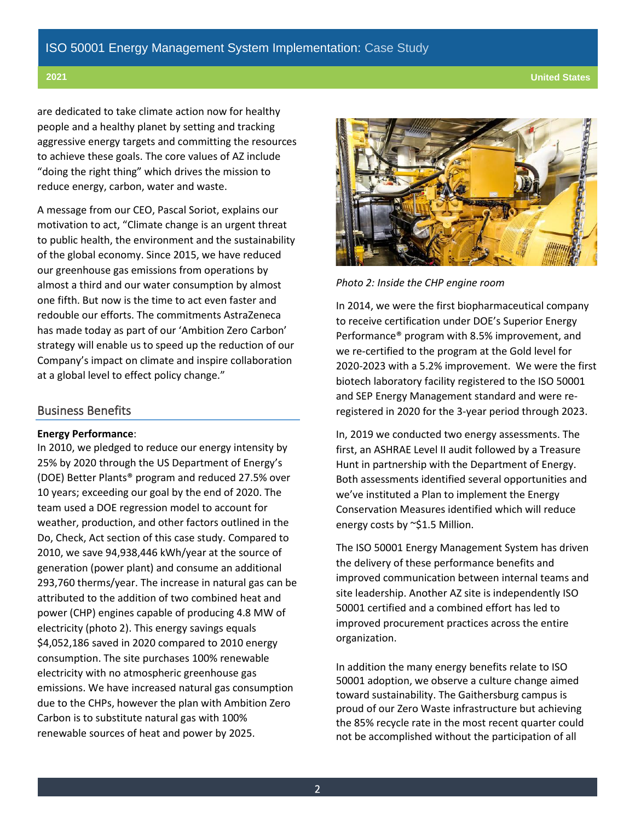**2021 United States**

are dedicated to take climate action now for healthy people and a healthy planet by setting and tracking aggressive energy targets and committing the resources to achieve these goals. The core values of AZ include "doing the right thing" which drives the mission to reduce energy, carbon, water and waste.

A message from our CEO, Pascal Soriot, explains our motivation to act, "Climate change is an urgent threat to public health, the environment and the sustainability of the global economy. Since 2015, we have reduced our greenhouse gas emissions from operations by almost a third and our water consumption by almost one fifth. But now is the time to act even faster and redouble our efforts. The commitments AstraZeneca has made today as part of our 'Ambition Zero Carbon' strategy will enable us to speed up the reduction of our Company's impact on climate and inspire collaboration at a global level to effect policy change."

### Business Benefits

### **Energy Performance**:

In 2010, we pledged to reduce our energy intensity by 25% by 2020 through the US Department of Energy's (DOE) Better Plants® program and reduced 27.5% over 10 years; exceeding our goal by the end of 2020. The team used a DOE regression model to account for weather, production, and other factors outlined in the Do, Check, Act section of this case study. Compared to 2010, we save 94,938,446 kWh/year at the source of generation (power plant) and consume an additional 293,760 therms/year. The increase in natural gas can be attributed to the addition of two combined heat and power (CHP) engines capable of producing 4.8 MW of electricity (photo 2). This energy savings equals \$4,052,186 saved in 2020 compared to 2010 energy consumption. The site purchases 100% renewable electricity with no atmospheric greenhouse gas emissions. We have increased natural gas consumption due to the CHPs, however the plan with Ambition Zero Carbon is to substitute natural gas with 100% renewable sources of heat and power by 2025.



*Photo 2: Inside the CHP engine room*

In 2014, we were the first biopharmaceutical company to receive certification under DOE's Superior Energy Performance® program with 8.5% improvement, and we re-certified to the program at the Gold level for 2020-2023 with a 5.2% improvement. We were the first biotech laboratory facility registered to the ISO 50001 and SEP Energy Management standard and were reregistered in 2020 for the 3-year period through 2023.

In, 2019 we conducted two energy assessments. The first, an ASHRAE Level II audit followed by a Treasure Hunt in partnership with the Department of Energy. Both assessments identified several opportunities and we've instituted a Plan to implement the Energy Conservation Measures identified which will reduce energy costs by ~\$1.5 Million.

The ISO 50001 Energy Management System has driven the delivery of these performance benefits and improved communication between internal teams and site leadership. Another AZ site is independently ISO 50001 certified and a combined effort has led to improved procurement practices across the entire organization.

In addition the many energy benefits relate to ISO 50001 adoption, we observe a culture change aimed toward sustainability. The Gaithersburg campus is proud of our Zero Waste infrastructure but achieving the 85% recycle rate in the most recent quarter could not be accomplished without the participation of all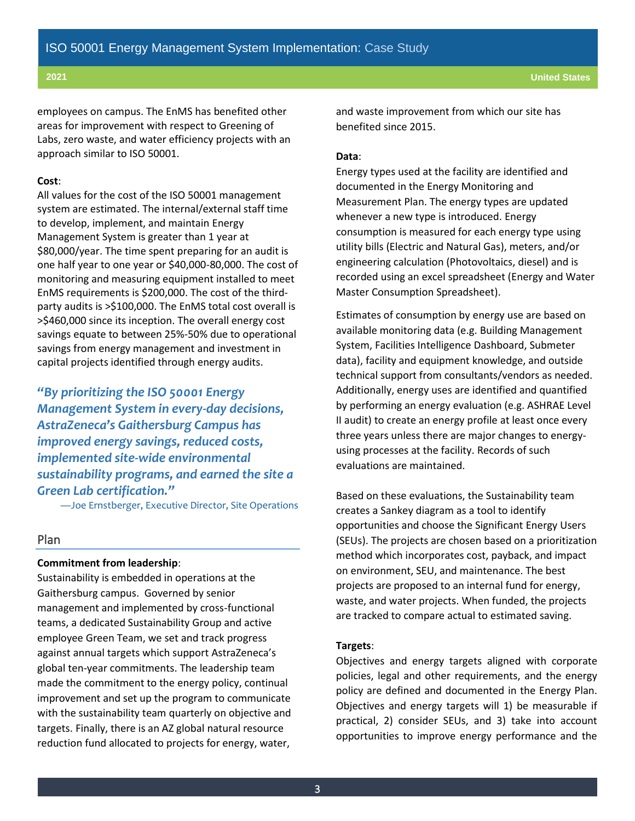employees on campus. The EnMS has benefited other areas for improvement with respect to Greening of Labs, zero waste, and water efficiency projects with an approach similar to ISO 50001.

#### **Cost**:

All values for the cost of the ISO 50001 management system are estimated. The internal/external staff time to develop, implement, and maintain Energy Management System is greater than 1 year at \$80,000/year. The time spent preparing for an audit is one half year to one year or \$40,000-80,000. The cost of monitoring and measuring equipment installed to meet EnMS requirements is \$200,000. The cost of the thirdparty audits is >\$100,000. The EnMS total cost overall is >\$460,000 since its inception. The overall energy cost savings equate to between 25%-50% due to operational savings from energy management and investment in capital projects identified through energy audits.

*"By prioritizing the ISO 50001 Energy Management System in every-day decisions, AstraZeneca's Gaithersburg Campus has improved energy savings, reduced costs, implemented site-wide environmental sustainability programs, and earned the site a Green Lab certification."*

—Joe Ernstberger, Executive Director, Site Operations

#### Plan

#### **Commitment from leadership**:

Sustainability is embedded in operations at the Gaithersburg campus. Governed by senior management and implemented by cross-functional teams, a dedicated Sustainability Group and active employee Green Team, we set and track progress against annual targets which support AstraZeneca's global ten-year commitments. The leadership team made the commitment to the energy policy, continual improvement and set up the program to communicate with the sustainability team quarterly on objective and targets. Finally, there is an AZ global natural resource reduction fund allocated to projects for energy, water,

and waste improvement from which our site has benefited since 2015.

#### **Data**:

Energy types used at the facility are identified and documented in the Energy Monitoring and Measurement Plan. The energy types are updated whenever a new type is introduced. Energy consumption is measured for each energy type using utility bills (Electric and Natural Gas), meters, and/or engineering calculation (Photovoltaics, diesel) and is recorded using an excel spreadsheet (Energy and Water Master Consumption Spreadsheet).

Estimates of consumption by energy use are based on available monitoring data (e.g. Building Management System, Facilities Intelligence Dashboard, Submeter data), facility and equipment knowledge, and outside technical support from consultants/vendors as needed. Additionally, energy uses are identified and quantified by performing an energy evaluation (e.g. ASHRAE Level II audit) to create an energy profile at least once every three years unless there are major changes to energyusing processes at the facility. Records of such evaluations are maintained.

Based on these evaluations, the Sustainability team creates a Sankey diagram as a tool to identify opportunities and choose the Significant Energy Users (SEUs). The projects are chosen based on a prioritization method which incorporates cost, payback, and impact on environment, SEU, and maintenance. The best projects are proposed to an internal fund for energy, waste, and water projects. When funded, the projects are tracked to compare actual to estimated saving.

#### **Targets**:

Objectives and energy targets aligned with corporate policies, legal and other requirements, and the energy policy are defined and documented in the Energy Plan. Objectives and energy targets will 1) be measurable if practical, 2) consider SEUs, and 3) take into account opportunities to improve energy performance and the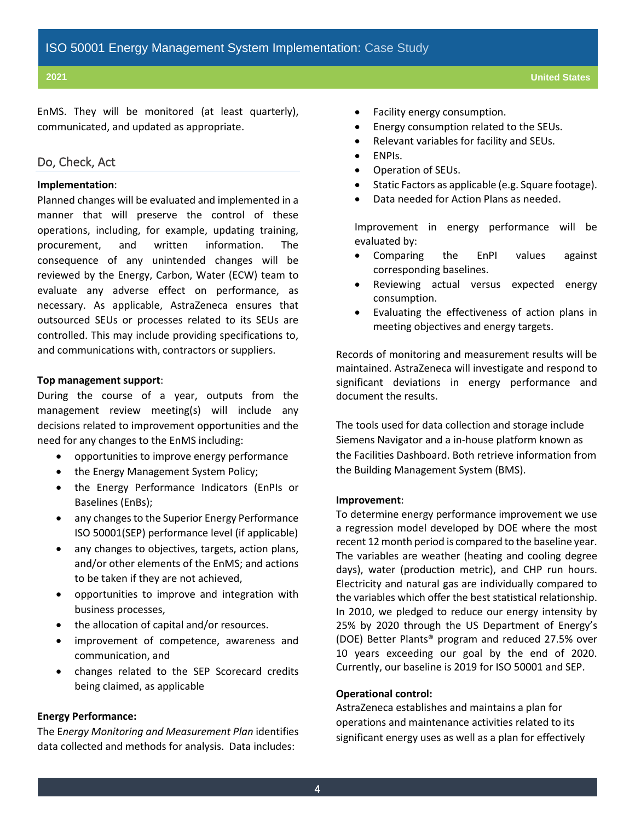EnMS. They will be monitored (at least quarterly), communicated, and updated as appropriate.

### Do, Check, Act

#### **Implementation**:

Planned changes will be evaluated and implemented in a manner that will preserve the control of these operations, including, for example, updating training, procurement, and written information. The consequence of any unintended changes will be reviewed by the Energy, Carbon, Water (ECW) team to evaluate any adverse effect on performance, as necessary. As applicable, AstraZeneca ensures that outsourced SEUs or processes related to its SEUs are controlled. This may include providing specifications to, and communications with, contractors or suppliers.

#### **Top management support**:

During the course of a year, outputs from the management review meeting(s) will include any decisions related to improvement opportunities and the need for any changes to the EnMS including:

- opportunities to improve energy performance
- the Energy Management System Policy;
- the Energy Performance Indicators (EnPIs or Baselines (EnBs);
- any changes to the Superior Energy Performance ISO 50001(SEP) performance level (if applicable)
- any changes to objectives, targets, action plans, and/or other elements of the EnMS; and actions to be taken if they are not achieved,
- opportunities to improve and integration with business processes,
- the allocation of capital and/or resources.
- improvement of competence, awareness and communication, and
- changes related to the SEP Scorecard credits being claimed, as applicable

#### **Energy Performance:**

The E*nergy Monitoring and Measurement Plan* identifies data collected and methods for analysis. Data includes:

- Facility energy consumption.
- Energy consumption related to the SEUs.
- Relevant variables for facility and SEUs.
- ENPIs.
- Operation of SEUs.
- Static Factors as applicable (e.g. Square footage).
- Data needed for Action Plans as needed.

Improvement in energy performance will be evaluated by:

- Comparing the EnPI values against corresponding baselines.
- Reviewing actual versus expected energy consumption.
- Evaluating the effectiveness of action plans in meeting objectives and energy targets.

Records of monitoring and measurement results will be maintained. AstraZeneca will investigate and respond to significant deviations in energy performance and document the results.

The tools used for data collection and storage include Siemens Navigator and a in-house platform known as the Facilities Dashboard. Both retrieve information from the Building Management System (BMS).

#### **Improvement**:

To determine energy performance improvement we use a regression model developed by DOE where the most recent 12 month period is compared to the baseline year. The variables are weather (heating and cooling degree days), water (production metric), and CHP run hours. Electricity and natural gas are individually compared to the variables which offer the best statistical relationship. In 2010, we pledged to reduce our energy intensity by 25% by 2020 through the US Department of Energy's (DOE) Better Plants® program and reduced 27.5% over 10 years exceeding our goal by the end of 2020. Currently, our baseline is 2019 for ISO 50001 and SEP.

#### **Operational control:**

AstraZeneca establishes and maintains a plan for operations and maintenance activities related to its significant energy uses as well as a plan for effectively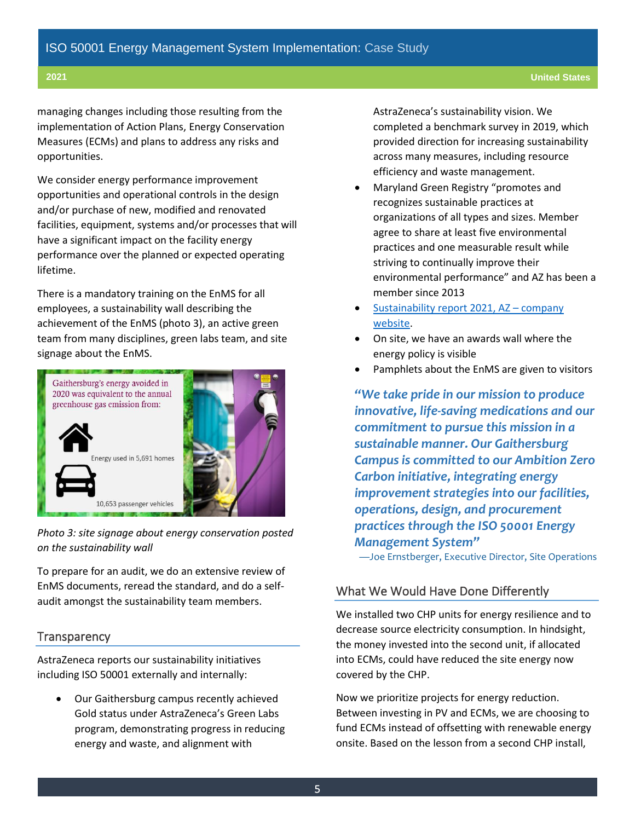managing changes including those resulting from the implementation of Action Plans, Energy Conservation Measures (ECMs) and plans to address any risks and opportunities.

We consider energy performance improvement opportunities and operational controls in the design and/or purchase of new, modified and renovated facilities, equipment, systems and/or processes that will have a significant impact on the facility energy performance over the planned or expected operating lifetime.

There is a mandatory training on the EnMS for all employees, a sustainability wall describing the achievement of the EnMS (photo 3), an active green team from many disciplines, green labs team, and site signage about the EnMS.



*Photo 3: site signage about energy conservation posted on the sustainability wall*

To prepare for an audit, we do an extensive review of EnMS documents, reread the standard, and do a selfaudit amongst the sustainability team members.

## **Transparency**

AstraZeneca reports our sustainability initiatives including ISO 50001 externally and internally:

• Our Gaithersburg campus recently achieved Gold status under AstraZeneca's Green Labs program, demonstrating progress in reducing energy and waste, and alignment with

AstraZeneca's sustainability vision. We completed a benchmark survey in 2019, which provided direction for increasing sustainability across many measures, including resource efficiency and waste management.

- Maryland Green Registry "promotes and recognizes sustainable practices at organizations of all types and sizes. Member agree to share at least five environmental practices and one measurable result while striving to continually improve their environmental performance" and AZ has been a member since 2013
- [Sustainability report](https://www.astrazeneca.com/content/dam/az/Sustainability/2021/pdf/Sustainability_Report_2020.pdf) 2021, AZ company [website.](https://www.astrazeneca.com/content/dam/az/Sustainability/2021/pdf/Sustainability_Report_2020.pdf)
- On site, we have an awards wall where the energy policy is visible
- Pamphlets about the EnMS are given to visitors

*"We take pride in our mission to produce innovative, life-saving medications and our commitment to pursue this mission in a sustainable manner. Our Gaithersburg Campus is committed to our Ambition Zero Carbon initiative, integrating energy improvement strategies into our facilities, operations, design, and procurement practices through the ISO 50001 Energy Management System"*

—Joe Ernstberger, Executive Director, Site Operations

## What We Would Have Done Differently

We installed two CHP units for energy resilience and to decrease source electricity consumption. In hindsight, the money invested into the second unit, if allocated into ECMs, could have reduced the site energy now covered by the CHP.

Now we prioritize projects for energy reduction. Between investing in PV and ECMs, we are choosing to fund ECMs instead of offsetting with renewable energy onsite. Based on the lesson from a second CHP install,